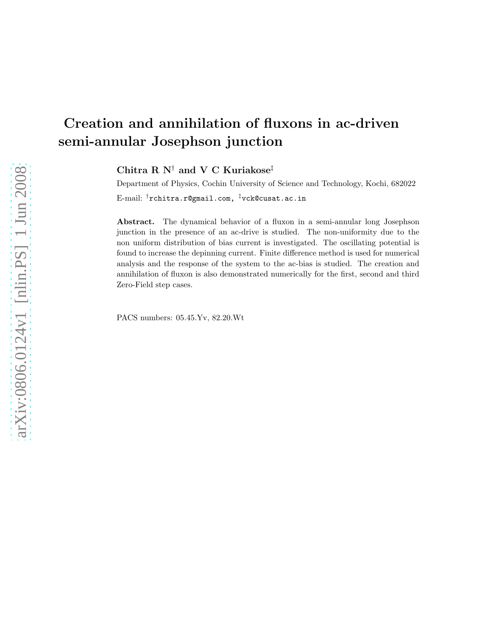# Creation and annihilation of fluxons in ac-driven semi-annular Josephson junction

Chitra R N† and V C Kuriakose‡

Department of Physics, Cochin University of Science and Technology, Kochi, 682022 E-mail: †rchitra.r@gmail.com, ‡vck@cusat.ac.in

Abstract. The dynamical behavior of a fluxon in a semi-annular long Josephson junction in the presence of an ac-drive is studied. The non-uniformity due to the non uniform distribution of bias current is investigated. The oscillating potential is found to increase the depinning current. Finite difference method is used for numerical analysis and the response of the system to the ac-bias is studied. The creation and annihilation of fluxon is also demonstrated numerically for the first, second and third Zero-Field step cases.

PACS numbers: 05.45.Yv, 82.20.Wt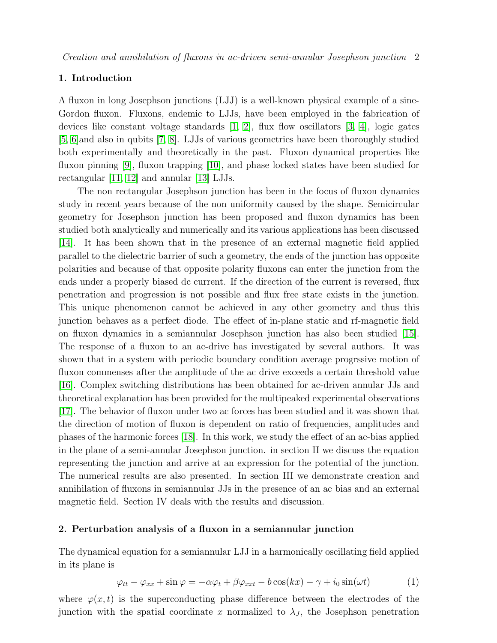## 1. Introduction

A fluxon in long Josephson junctions (LJJ) is a well-known physical example of a sine-Gordon fluxon. Fluxons, endemic to LJJs, have been employed in the fabrication of devices like constant voltage standards  $[1, 2]$  $[1, 2]$ , flux flow oscillators  $[3, 4]$  $[3, 4]$ , logic gates [\[5,](#page-9-4) [6\]](#page-9-5)and also in qubits [\[7,](#page-9-6) [8\]](#page-9-7). LJJs of various geometries have been thoroughly studied both experimentally and theoretically in the past. Fluxon dynamical properties like fluxon pinning [\[9\]](#page-9-8), fluxon trapping [\[10\]](#page-9-9), and phase locked states have been studied for rectangular [\[11,](#page-9-10) [12\]](#page-9-11) and annular [\[13\]](#page-9-12) LJJs.

The non rectangular Josephson junction has been in the focus of fluxon dynamics study in recent years because of the non uniformity caused by the shape. Semicircular geometry for Josephson junction has been proposed and fluxon dynamics has been studied both analytically and numerically and its various applications has been discussed [\[14\]](#page-9-13). It has been shown that in the presence of an external magnetic field applied parallel to the dielectric barrier of such a geometry, the ends of the junction has opposite polarities and because of that opposite polarity fluxons can enter the junction from the ends under a properly biased dc current. If the direction of the current is reversed, flux penetration and progression is not possible and flux free state exists in the junction. This unique phenomenon cannot be achieved in any other geometry and thus this junction behaves as a perfect diode. The effect of in-plane static and rf-magnetic field on fluxon dynamics in a semiannular Josephson junction has also been studied [\[15\]](#page-9-14). The response of a fluxon to an ac-drive has investigated by several authors. It was shown that in a system with periodic boundary condition average progrssive motion of fluxon commenses after the amplitude of the ac drive exceeds a certain threshold value [\[16\]](#page-9-15). Complex switching distributions has been obtained for ac-driven annular JJs and theoretical explanation has been provided for the multipeaked experimental observations [\[17\]](#page-9-16). The behavior of fluxon under two ac forces has been studied and it was shown that the direction of motion of fluxon is dependent on ratio of frequencies, amplitudes and phases of the harmonic forces [\[18\]](#page-9-17). In this work, we study the effect of an ac-bias applied in the plane of a semi-annular Josephson junction. in section II we discuss the equation representing the junction and arrive at an expression for the potential of the junction. The numerical results are also presented. In section III we demonstrate creation and annihilation of fluxons in semiannular JJs in the presence of an ac bias and an external magnetic field. Section IV deals with the results and discussion.

## 2. Perturbation analysis of a fluxon in a semiannular junction

The dynamical equation for a semiannular LJJ in a harmonically oscillating field applied in its plane is

<span id="page-1-0"></span>
$$
\varphi_{tt} - \varphi_{xx} + \sin \varphi = -\alpha \varphi_t + \beta \varphi_{xxt} - b \cos(kx) - \gamma + i_0 \sin(\omega t) \tag{1}
$$

where  $\varphi(x, t)$  is the superconducting phase difference between the electrodes of the junction with the spatial coordinate x normalized to  $\lambda_J$ , the Josephson penetration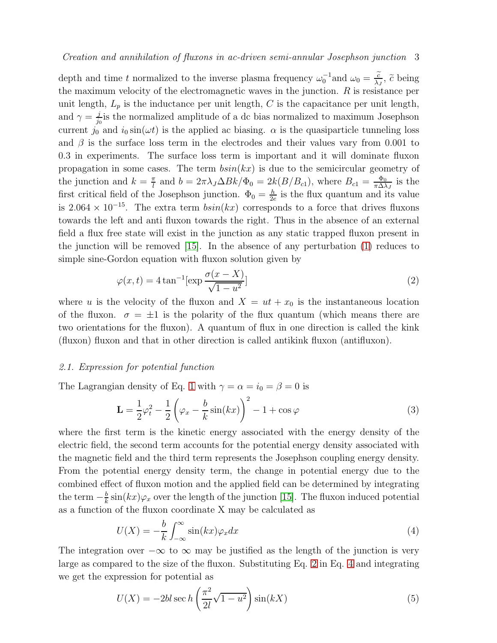depth and time t normalized to the inverse plasma frequency  $\omega_0^{-1}$  and  $\omega_0 = \frac{\tilde{c}}{\lambda_J}$ ,  $\tilde{c}$  being the maximum velocity of the electromagnetic waves in the junction.  $R$  is resistance per unit length,  $L_p$  is the inductance per unit length, C is the capacitance per unit length, and  $\gamma = \frac{j}{i}$  $\frac{j}{j_0}$  is the normalized amplitude of a dc bias normalized to maximum Josephson current  $j_0$  and  $i_0 \sin(\omega t)$  is the applied ac biasing.  $\alpha$  is the quasiparticle tunneling loss and  $\beta$  is the surface loss term in the electrodes and their values vary from 0.001 to 0.3 in experiments. The surface loss term is important and it will dominate fluxon propagation in some cases. The term  $\binom{b\sin(kx)}{b\sin(kx)}$  is due to the semicircular geometry of the junction and  $k = \frac{\pi}{l}$  $\frac{\pi}{l}$  and  $b = 2\pi\lambda_J\Delta Bk/\Phi_0 = 2k(B/B_{c1}),$  where  $B_{c1} = \frac{\Phi_0}{\pi\Delta\lambda}$  $\frac{\Phi_0}{\pi \Delta \lambda_J}$  is the first critical field of the Josephson junction.  $\Phi_0 = \frac{h}{2e}$  is the flux quantum and its value is 2.064 × 10<sup>-15</sup>. The extra term  $bsin(kx)$  corresponds to a force that drives fluxons towards the left and anti fluxon towards the right. Thus in the absence of an external field a flux free state will exist in the junction as any static trapped fluxon present in the junction will be removed [\[15\]](#page-9-14). In the absence of any perturbation [\(1\)](#page-1-0) reduces to simple sine-Gordon equation with fluxon solution given by

<span id="page-2-0"></span>
$$
\varphi(x,t) = 4 \tan^{-1} \left[ \exp \frac{\sigma(x-X)}{\sqrt{1-u^2}} \right] \tag{2}
$$

where u is the velocity of the fluxon and  $X = ut + x_0$  is the instantaneous location of the fluxon.  $\sigma = \pm 1$  is the polarity of the flux quantum (which means there are two orientations for the fluxon). A quantum of flux in one direction is called the kink (fluxon) fluxon and that in other direction is called antikink fluxon (antifluxon).

### 2.1. Expression for potential function

The Lagrangian density of Eq. [1](#page-1-0) with  $\gamma = \alpha = i_0 = \beta = 0$  is

$$
\mathbf{L} = \frac{1}{2}\varphi_t^2 - \frac{1}{2}\left(\varphi_x - \frac{b}{k}\sin(kx)\right)^2 - 1 + \cos\varphi\tag{3}
$$

where the first term is the kinetic energy associated with the energy density of the electric field, the second term accounts for the potential energy density associated with the magnetic field and the third term represents the Josephson coupling energy density. From the potential energy density term, the change in potential energy due to the combined effect of fluxon motion and the applied field can be determined by integrating the term  $-\frac{b}{k}$  $\frac{b}{k}$  sin $(kx)\varphi_x$  over the length of the junction [\[15\]](#page-9-14). The fluxon induced potential as a function of the fluxon coordinate X may be calculated as

<span id="page-2-1"></span>
$$
U(X) = -\frac{b}{k} \int_{-\infty}^{\infty} \sin(kx)\varphi_x dx
$$
 (4)

The integration over  $-\infty$  to  $\infty$  may be justified as the length of the junction is very large as compared to the size of the fluxon. Substituting Eq. [2](#page-2-0) in Eq. [4](#page-2-1) and integrating we get the expression for potential as

$$
U(X) = -2bl \sec h \left(\frac{\pi^2}{2l} \sqrt{1 - u^2}\right) \sin(kX)
$$
\n(5)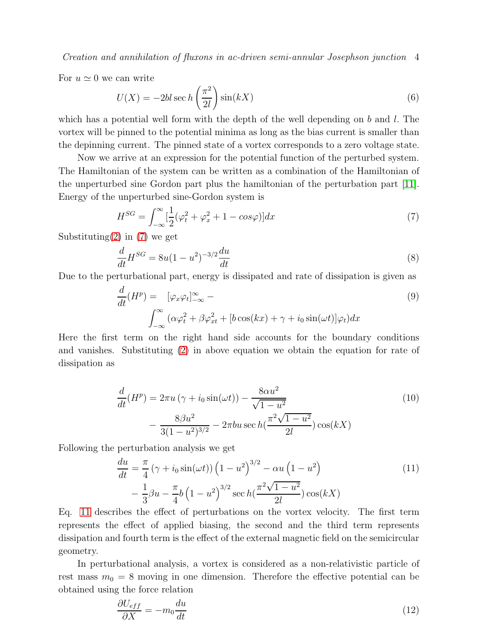Creation and annihilation of fluxons in ac-driven semi-annular Josephson junction 4

For  $u \simeq 0$  we can write

$$
U(X) = -2bl \sec h\left(\frac{\pi^2}{2l}\right) \sin(kX) \tag{6}
$$

which has a potential well form with the depth of the well depending on b and l. The vortex will be pinned to the potential minima as long as the bias current is smaller than the depinning current. The pinned state of a vortex corresponds to a zero voltage state.

Now we arrive at an expression for the potential function of the perturbed system. The Hamiltonian of the system can be written as a combination of the Hamiltonian of the unperturbed sine Gordon part plus the hamiltonian of the perturbation part [\[11\]](#page-9-10). Energy of the unperturbed sine-Gordon system is

<span id="page-3-0"></span>
$$
H^{SG} = \int_{-\infty}^{\infty} \left[\frac{1}{2}(\varphi_t^2 + \varphi_x^2 + 1 - \cos\varphi)\right] dx\tag{7}
$$

Substituting $(2)$  in  $(7)$  we get

$$
\frac{d}{dt}H^{SG} = 8u(1-u^2)^{-3/2}\frac{du}{dt}
$$
\n(8)

Due to the perturbational part, energy is dissipated and rate of dissipation is given as

$$
\frac{d}{dt}(H^p) = \left[\varphi_x \varphi_t\right]_{-\infty}^{\infty} - \int_{-\infty}^{\infty} \left(\alpha \varphi_t^2 + \beta \varphi_{xt}^2 + \left[b \cos(kx) + \gamma + i_0 \sin(\omega t)\right] \varphi_t\right) dx
$$
\n(9)

Here the first term on the right hand side accounts for the boundary conditions and vanishes. Substituting [\(2\)](#page-2-0) in above equation we obtain the equation for rate of dissipation as

$$
\frac{d}{dt}(H^p) = 2\pi u \left(\gamma + i_0 \sin(\omega t)\right) - \frac{8\alpha u^2}{\sqrt{1 - u^2}}\n- \frac{8\beta u^2}{3(1 - u^2)^{3/2}} - 2\pi bu \sec h\left(\frac{\pi^2 \sqrt{1 - u^2}}{2l}\right) \cos(kX)
$$
\n(10)

Following the perturbation analysis we get

<span id="page-3-1"></span>
$$
\frac{du}{dt} = \frac{\pi}{4} \left( \gamma + i_0 \sin(\omega t) \right) \left( 1 - u^2 \right)^{3/2} - \alpha u \left( 1 - u^2 \right) \n- \frac{1}{3} \beta u - \frac{\pi}{4} b \left( 1 - u^2 \right)^{3/2} \sec h \left( \frac{\pi^2 \sqrt{1 - u^2}}{2l} \right) \cos(kX)
$$
\n(11)

Eq. [11](#page-3-1) describes the effect of perturbations on the vortex velocity. The first term represents the effect of applied biasing, the second and the third term represents dissipation and fourth term is the effect of the external magnetic field on the semicircular geometry.

In perturbational analysis, a vortex is considered as a non-relativistic particle of rest mass  $m_0 = 8$  moving in one dimension. Therefore the effective potential can be obtained using the force relation

<span id="page-3-2"></span>
$$
\frac{\partial U_{eff}}{\partial X} = -m_0 \frac{du}{dt} \tag{12}
$$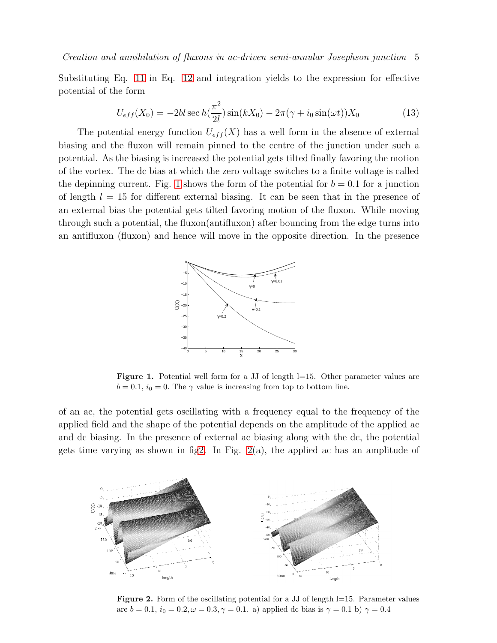Substituting Eq. [11](#page-3-1) in Eq. [12](#page-3-2) and integration yields to the expression for effective potential of the form

$$
U_{eff}(X_0) = -2bl \sec h(\frac{\pi^2}{2l}) \sin(kX_0) - 2\pi(\gamma + i_0 \sin(\omega t))X_0
$$
 (13)

The potential energy function  $U_{eff}(X)$  has a well form in the absence of external biasing and the fluxon will remain pinned to the centre of the junction under such a potential. As the biasing is increased the potential gets tilted finally favoring the motion of the vortex. The dc bias at which the zero voltage switches to a finite voltage is called the depinning current. Fig. [1](#page-4-0) shows the form of the potential for  $b = 0.1$  for a junction of length  $l = 15$  for different external biasing. It can be seen that in the presence of an external bias the potential gets tilted favoring motion of the fluxon. While moving through such a potential, the fluxon(antifluxon) after bouncing from the edge turns into an antifluxon (fluxon) and hence will move in the opposite direction. In the presence



<span id="page-4-0"></span>Figure 1. Potential well form for a JJ of length l=15. Other parameter values are  $b = 0.1$ ,  $i_0 = 0$ . The  $\gamma$  value is increasing from top to bottom line.

of an ac, the potential gets oscillating with a frequency equal to the frequency of the applied field and the shape of the potential depends on the amplitude of the applied ac and dc biasing. In the presence of external ac biasing along with the dc, the potential gets time varying as shown in fi[g2.](#page-4-1) In Fig.  $2(a)$ , the applied ac has an amplitude of



<span id="page-4-1"></span>Figure 2. Form of the oscillating potential for a JJ of length l=15. Parameter values are  $b = 0.1$ ,  $i_0 = 0.2$ ,  $\omega = 0.3$ ,  $\gamma = 0.1$ . a) applied dc bias is  $\gamma = 0.1$  b)  $\gamma = 0.4$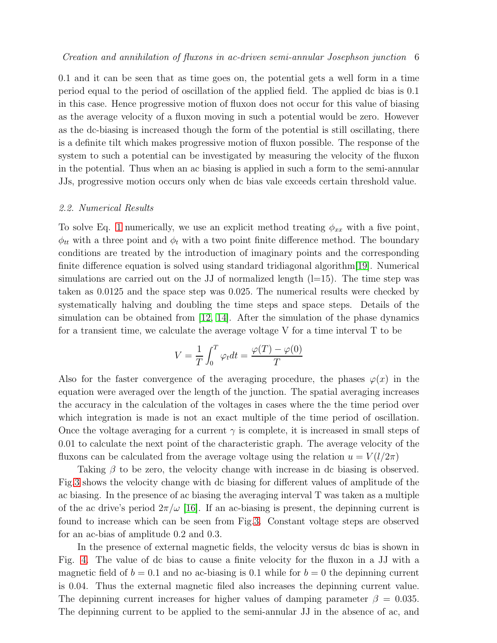0.1 and it can be seen that as time goes on, the potential gets a well form in a time period equal to the period of oscillation of the applied field. The applied dc bias is 0.1 in this case. Hence progressive motion of fluxon does not occur for this value of biasing as the average velocity of a fluxon moving in such a potential would be zero. However as the dc-biasing is increased though the form of the potential is still oscillating, there is a definite tilt which makes progressive motion of fluxon possible. The response of the system to such a potential can be investigated by measuring the velocity of the fluxon in the potential. Thus when an ac biasing is applied in such a form to the semi-annular JJs, progressive motion occurs only when dc bias vale exceeds certain threshold value.

#### 2.2. Numerical Results

To solve Eq. [1](#page-1-0) numerically, we use an explicit method treating  $\phi_{xx}$  with a five point,  $\phi_{tt}$  with a three point and  $\phi_t$  with a two point finite difference method. The boundary conditions are treated by the introduction of imaginary points and the corresponding finite difference equation is solved using standard tridiagonal algorithm[\[19\]](#page-9-18). Numerical simulations are carried out on the JJ of normalized length  $(l=15)$ . The time step was taken as 0.0125 and the space step was 0.025. The numerical results were checked by systematically halving and doubling the time steps and space steps. Details of the simulation can be obtained from [\[12,](#page-9-11) [14\]](#page-9-13). After the simulation of the phase dynamics for a transient time, we calculate the average voltage V for a time interval T to be

$$
V = \frac{1}{T} \int_0^T \varphi_t dt = \frac{\varphi(T) - \varphi(0)}{T}
$$

Also for the faster convergence of the averaging procedure, the phases  $\varphi(x)$  in the equation were averaged over the length of the junction. The spatial averaging increases the accuracy in the calculation of the voltages in cases where the the time period over which integration is made is not an exact multiple of the time period of oscillation. Once the voltage averaging for a current  $\gamma$  is complete, it is increased in small steps of 0.01 to calculate the next point of the characteristic graph. The average velocity of the fluxons can be calculated from the average voltage using the relation  $u = V(l/2\pi)$ 

Taking  $\beta$  to be zero, the velocity change with increase in dc biasing is observed. Fig[.3](#page-6-0) shows the velocity change with dc biasing for different values of amplitude of the ac biasing. In the presence of ac biasing the averaging interval T was taken as a multiple of the ac drive's period  $2\pi/\omega$  [\[16\]](#page-9-15). If an ac-biasing is present, the depinning current is found to increase which can be seen from Fig[.3.](#page-6-0) Constant voltage steps are observed for an ac-bias of amplitude 0.2 and 0.3.

In the presence of external magnetic fields, the velocity versus dc bias is shown in Fig. [4.](#page-6-1) The value of dc bias to cause a finite velocity for the fluxon in a JJ with a magnetic field of  $b = 0.1$  and no ac-biasing is 0.1 while for  $b = 0$  the depinning current is 0.04. Thus the external magnetic filed also increases the depinning current value. The depinning current increases for higher values of damping parameter  $\beta = 0.035$ . The depinning current to be applied to the semi-annular JJ in the absence of ac, and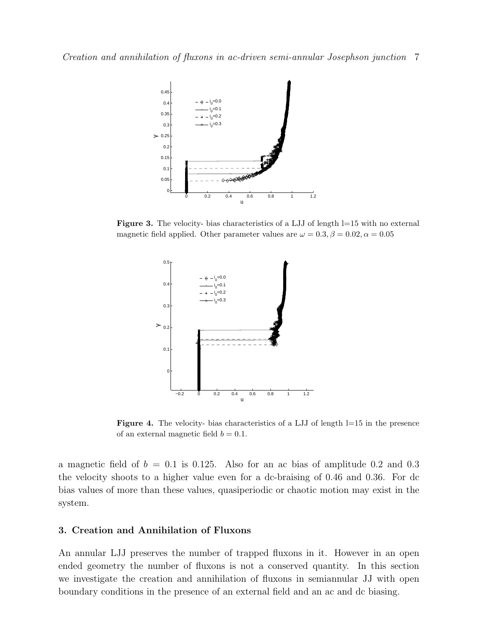

Figure 3. The velocity- bias characteristics of a LJJ of length l=15 with no external magnetic field applied. Other parameter values are  $\omega = 0.3, \beta = 0.02, \alpha = 0.05$ 

<span id="page-6-0"></span>

<span id="page-6-1"></span>Figure 4. The velocity- bias characteristics of a LJJ of length l=15 in the presence of an external magnetic field  $b = 0.1$ .

a magnetic field of  $b = 0.1$  is 0.125. Also for an ac bias of amplitude 0.2 and 0.3 the velocity shoots to a higher value even for a dc-braising of 0.46 and 0.36. For dc bias values of more than these values, quasiperiodic or chaotic motion may exist in the system.

## 3. Creation and Annihilation of Fluxons

An annular LJJ preserves the number of trapped fluxons in it. However in an open ended geometry the number of fluxons is not a conserved quantity. In this section we investigate the creation and annihilation of fluxons in semiannular JJ with open boundary conditions in the presence of an external field and an ac and dc biasing.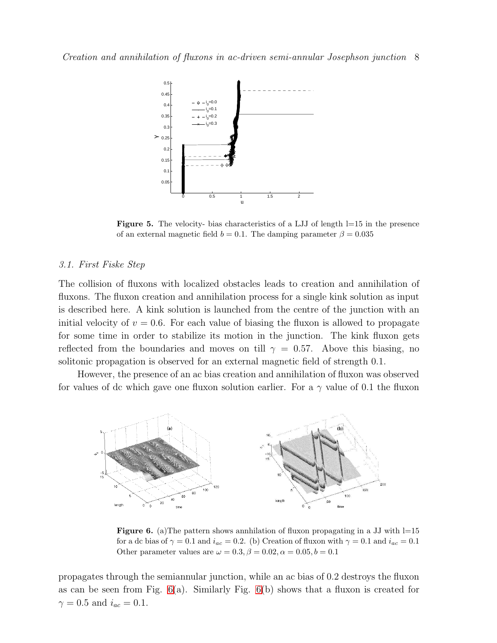

Figure 5. The velocity- bias characteristics of a LJJ of length l=15 in the presence of an external magnetic field  $b = 0.1$ . The damping parameter  $\beta = 0.035$ 

#### 3.1. First Fiske Step

The collision of fluxons with localized obstacles leads to creation and annihilation of fluxons. The fluxon creation and annihilation process for a single kink solution as input is described here. A kink solution is launched from the centre of the junction with an initial velocity of  $v = 0.6$ . For each value of biasing the fluxon is allowed to propagate for some time in order to stabilize its motion in the junction. The kink fluxon gets reflected from the boundaries and moves on till  $\gamma = 0.57$ . Above this biasing, no solitonic propagation is observed for an external magnetic field of strength 0.1.

However, the presence of an ac bias creation and annihilation of fluxon was observed for values of dc which gave one fluxon solution earlier. For a  $\gamma$  value of 0.1 the fluxon



<span id="page-7-0"></span>**Figure 6.** (a) The pattern shows annhilation of fluxon propagating in a JJ with  $l=15$ for a dc bias of  $\gamma = 0.1$  and  $i_{ac} = 0.2$ . (b) Creation of fluxon with  $\gamma = 0.1$  and  $i_{ac} = 0.1$ Other parameter values are  $\omega = 0.3$ ,  $\beta = 0.02$ ,  $\alpha = 0.05$ ,  $b = 0.1$ 

propagates through the semiannular junction, while an ac bias of 0.2 destroys the fluxon as can be seen from Fig.  $6(a)$ . Similarly Fig.  $6(b)$  shows that a fluxon is created for  $\gamma = 0.5$  and  $i_{ac} = 0.1$ .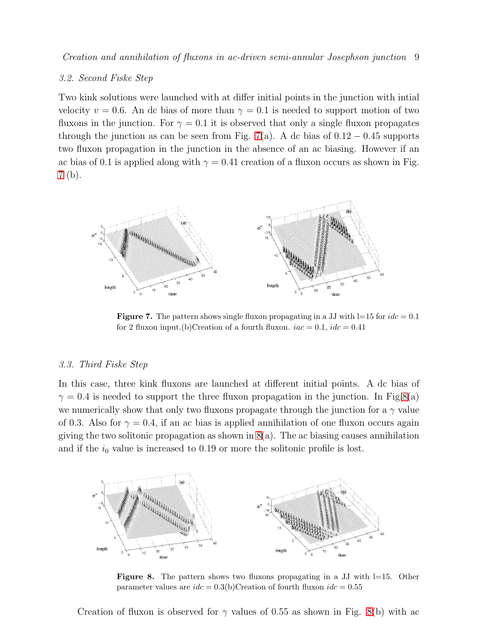Creation and annihilation of fluxons in ac-driven semi-annular Josephson junction 9

#### 3.2. Second Fiske Step

Two kink solutions were launched with at differ initial points in the junction with intial velocity  $v = 0.6$ . An dc bias of more than  $\gamma = 0.1$  is needed to support motion of two fluxons in the junction. For  $\gamma = 0.1$  it is observed that only a single fluxon propagates through the junction as can be seen from Fig. [7\(](#page-8-0)a). A dc bias of  $0.12 - 0.45$  supports two fluxon propagation in the junction in the absence of an ac biasing. However if an ac bias of 0.1 is applied along with  $\gamma = 0.41$  creation of a fluxon occurs as shown in Fig. [7](#page-8-0) (b).



<span id="page-8-0"></span>**Figure 7.** The pattern shows single fluxon propagating in a JJ with  $l=15$  for  $ide = 0.1$ for 2 fluxon input.(b)Creation of a fourth fluxon.  $iac = 0.1$ ,  $idc = 0.41$ 

#### 3.3. Third Fiske Step

In this case, three kink fluxons are launched at different initial points. A dc bias of  $\gamma = 0.4$  is needed to support the three fluxon propagation in the junction. In Fig[.8\(](#page-8-1)a) we numerically show that only two fluxons propagate through the junction for a  $\gamma$  value of 0.3. Also for  $\gamma = 0.4$ , if an ac bias is applied annihilation of one fluxon occurs again giving the two solitonic propagation as shown in  $8(a)$ . The ac biasing causes annihilation and if the  $i_0$  value is increased to 0.19 or more the solitonic profile is lost.



<span id="page-8-1"></span>**Figure 8.** The pattern shows two fluxons propagating in a JJ with  $l=15$ . Other parameter values are  $ide = 0.3(b)$ Creation of fourth fluxon  $ide = 0.55$ 

Creation of fluxon is observed for  $\gamma$  values of 0.55 as shown in Fig. [8\(](#page-8-1)b) with ac